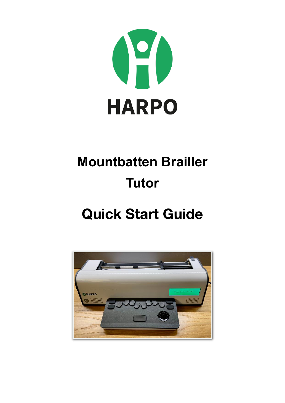

# **Mountbatten Brailler Tutor**

## **Quick Start Guide**

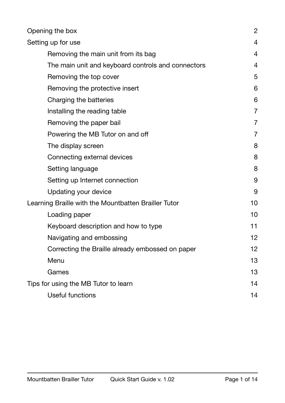| Opening the box                                      | $\overline{2}$ |
|------------------------------------------------------|----------------|
| Setting up for use                                   | $\overline{4}$ |
| Removing the main unit from its bag                  | $\overline{4}$ |
| The main unit and keyboard controls and connectors   | $\overline{4}$ |
| Removing the top cover                               | 5              |
| Removing the protective insert                       | 6              |
| Charging the batteries                               | 6              |
| Installing the reading table                         | $\overline{7}$ |
| Removing the paper bail                              | $\overline{7}$ |
| Powering the MB Tutor on and off                     | $\overline{7}$ |
| The display screen                                   | 8              |
| Connecting external devices                          | 8              |
| Setting language                                     | 8              |
| Setting up Internet connection                       | 9              |
| Updating your device                                 | 9              |
| Learning Braille with the Mountbatten Brailler Tutor | 10             |
| Loading paper                                        | 10             |
| Keyboard description and how to type                 | 11             |
| Navigating and embossing                             | 12             |
| Correcting the Braille already embossed on paper     | 12             |
| Menu                                                 | 13             |
| Games                                                | 13             |
| Tips for using the MB Tutor to learn                 | 14             |
| <b>Useful functions</b>                              | 14             |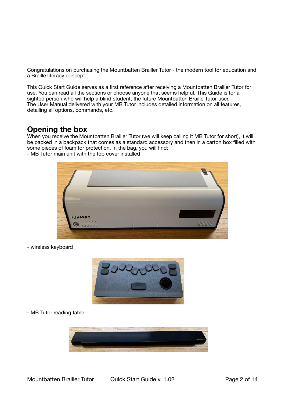Congratulations on purchasing the Mountbatten Brailler Tutor - the modern tool for education and a Braille literacy concept.

This Quick Start Guide serves as a first reference after receiving a Mountbatten Brailler Tutor for use. You can read all the sections or choose anyone that seems helpful. This Guide is for a sighted person who will help a blind student, the future Mountbatten Braille Tutor user. The User Manual delivered with your MB Tutor includes detailed information on all features, detailing all options, commands, etc.

### <span id="page-2-0"></span>**Opening the box**

When you receive the Mountbatten Brailler Tutor (we will keep calling it MB Tutor for short), it will be packed in a backpack that comes as a standard accessory and then in a carton box filled with some pieces of foam for protection. In the bag, you will find:

- MB Tutor main unit with the top cover installed



- wireless keyboard



- MB Tutor reading table

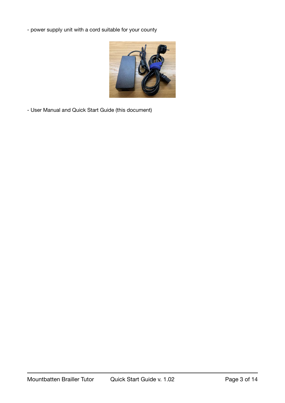- power supply unit with a cord suitable for your county



- User Manual and Quick Start Guide (this document)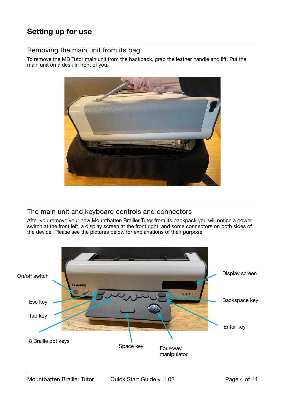## <span id="page-4-0"></span>**Setting up for use**

#### <span id="page-4-1"></span>Removing the main unit from its bag

To remove the MB Tutor main unit from the backpack, grab the leather handle and lift. Put the main unit on a desk in front of you.



#### <span id="page-4-2"></span>The main unit and keyboard controls and connectors

After you remove your new Mountbatten Brailler Tutor from its backpack you will notice a power switch at the front left, a display screen at the front right, and some connectors on both sides of the device. Please see the pictures below for explanations of their purpose:

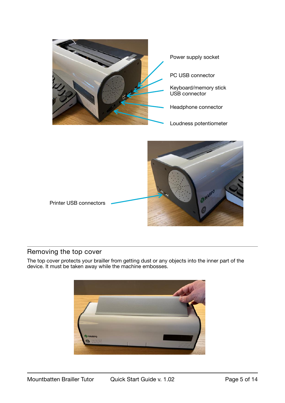

#### <span id="page-5-0"></span>Removing the top cover

The top cover protects your brailler from getting dust or any objects into the inner part of the device. It must be taken away while the machine embosses.

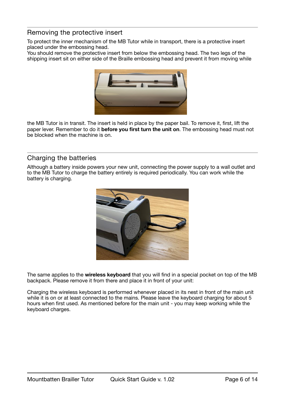#### <span id="page-6-0"></span>Removing the protective insert

To protect the inner mechanism of the MB Tutor while in transport, there is a protective insert placed under the embossing head.

You should remove the protective insert from below the embossing head. The two legs of the shipping insert sit on either side of the Braille embossing head and prevent it from moving while



the MB Tutor is in transit. The insert is held in place by the paper bail. To remove it, first, lift the paper lever. Remember to do it **before you first turn the unit on**. The embossing head must not be blocked when the machine is on.

#### <span id="page-6-1"></span>Charging the batteries

Although a battery inside powers your new unit, connecting the power supply to a wall outlet and to the MB Tutor to charge the battery entirely is required periodically. You can work while the battery is charging.



The same applies to the **wireless keyboard** that you will find in a special pocket on top of the MB backpack. Please remove it from there and place it in front of your unit:

Charging the wireless keyboard is performed whenever placed in its nest in front of the main unit while it is on or at least connected to the mains. Please leave the keyboard charging for about 5 hours when first used. As mentioned before for the main unit - you may keep working while the keyboard charges.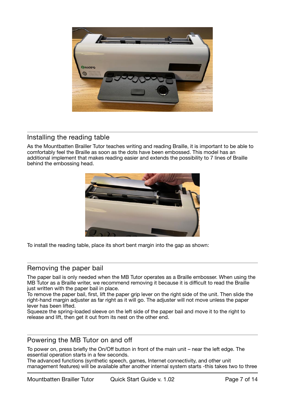

#### <span id="page-7-0"></span>Installing the reading table

As the Mountbatten Brailler Tutor teaches writing and reading Braille, it is important to be able to comfortably feel the Braille as soon as the dots have been embossed. This model has an additional implement that makes reading easier and extends the possibility to 7 lines of Braille behind the embossing head.



To install the reading table, place its short bent margin into the gap as shown:

#### <span id="page-7-1"></span>Removing the paper bail

The paper bail is only needed when the MB Tutor operates as a Braille embosser. When using the MB Tutor as a Braille writer, we recommend removing it because it is difficult to read the Braille just written with the paper bail in place.

To remove the paper bail, first, lift the paper grip lever on the right side of the unit. Then slide the right-hand margin adjuster as far right as it will go. The adjuster will not move unless the paper lever has been lifted.

Squeeze the spring-loaded sleeve on the left side of the paper bail and move it to the right to release and lift, then get it out from its nest on the other end.

#### <span id="page-7-2"></span>Powering the MB Tutor on and off

To power on, press briefly the On/Off button in front of the main unit – near the left edge. The essential operation starts in a few seconds.

The advanced functions (synthetic speech, games, Internet connectivity, and other unit management features) will be available after another internal system starts -this takes two to three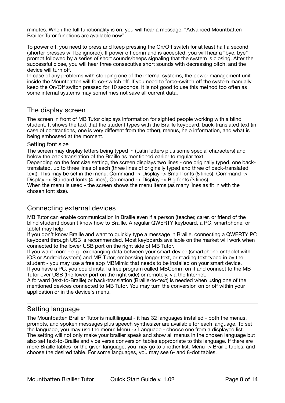minutes. When the full functionality is on, you will hear a message: "Advanced Mountbatten Brailler Tutor functions are available now".

To power off, you need to press and keep pressing the On/Off switch for at least half a second (shorter presses will be ignored). If power off command is accepted, you will hear a "bye, bye" prompt followed by a series of short sounds/beeps signaling that the system is closing. After the successful close, you will hear three consecutive short sounds with decreasing pitch, and the device will turn off.

In case of any problems with stopping one of the internal systems, the power management unit inside the Mountbatten will force-switch off. If you need to force-switch off the system manually, keep the On/Off switch pressed for 10 seconds. It is not good to use this method too often as some internal systems may sometimes not save all current data.

#### <span id="page-8-0"></span>The display screen

The screen in front of MB Tutor displays information for sighted people working with a blind student. It shows the text that the student types with the Braille keyboard, back-translated text (in case of contractions, one is very different from the other), menus, help information, and what is being embossed at the moment.

#### Setting font size

The screen may display letters being typed in (Latin letters plus some special characters) and below the back translation of the Braille as mentioned earlier to regular text.

Depending on the font size setting, the screen displays two lines - one originally typed, one backtranslated, up to three lines of each (three lines of originally typed and three of back-translated text). This may be set in the menu: Command -> Display -> Small fonts (8 lines), Command -> Display -> Standard fonts (4 lines), Command -> Display -> Big fonts (3 lines). When the menu is used - the screen shows the menu items (as many lines as fit in with the chosen font size).

#### <span id="page-8-1"></span>Connecting external devices

MB Tutor can enable communication in Braille even if a person (teacher, carer, or friend of the blind student) doesn't know how to Braille. A regular QWERTY keyboard, a PC, smartphone, or tablet may help.

If you don't know Braille and want to quickly type a message in Braille, connecting a QWERTY PC keyboard through USB is recommended. Most keyboards available on the market will work when connected to the lower USB port on the right side of MB Tutor.

If you want more - e.g., exchanging data between your smart device (smartphone or tablet with iOS or Android system) and MB Tutor, embossing longer text, or reading text typed in by the student - you may use a free app MBMimic that needs to be installed on your smart device. If you have a PC, you could install a free program called MBComm on it and connect to the MB Tutor over USB (the lower port on the right side) or remotely, via the Internet.

A forward (text-to-Braille) or back-translation (Braille-to-text) is needed when using one of the mentioned devices connected to MB Tutor. You may turn the conversion on or off within your application or in the device's menu.

#### <span id="page-8-2"></span>Setting language

The Mountbatten Brailler Tutor is multilingual - it has 32 languages installed - both the menus, prompts, and spoken messages plus speech synthesizer are available for each language. To set the language, you may use the menu: Menu -> Language - choose one from a displayed list. The setting will not only make your brailler speak and show all menus in the chosen language but also set text-to-Braille and vice versa conversion tables appropriate to this language. If there are more Braille tables for the given language, you may go to another list: Menu -> Braille tables, and choose the desired table. For some languages, you may see 6- and 8-dot tables.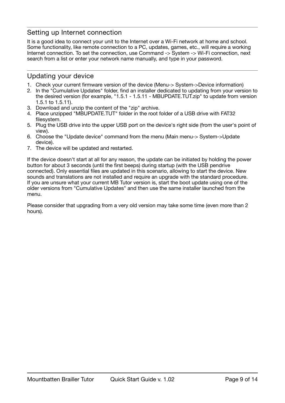#### <span id="page-9-0"></span>Setting up Internet connection

It is a good idea to connect your unit to the Internet over a Wi-Fi network at home and school. Some functionality, like remote connection to a PC, updates, games, etc., will require a working Internet connection. To set the connection, use Command -> System -> Wi-Fi connection, next search from a list or enter your network name manually, and type in your password.

#### <span id="page-9-1"></span>Updating your device

- 1. Check your current firmware version of the device (Menu-> System->Device information)
- 2. In the "Cumulative Updates" folder, find an installer dedicated to updating from your version to the desired version (for example, "1.5.1 - 1.5.11 - MBUPDATE.TUT.zip" to update from version 1.5.1 to 1.5.11).
- 3. Download and unzip the content of the "zip" archive.
- 4. Place unzipped "MBUPDATE.TUT" folder in the root folder of a USB drive with FAT32 filesystem.
- 5. Plug the USB drive into the upper USB port on the device's right side (from the user's point of view).
- 6. Choose the "Update device" command from the menu (Main menu-> System->Update device).
- 7. The device will be updated and restarted.

If the device doesn't start at all for any reason, the update can be initiated by holding the power button for about 3 seconds (until the first beeps) during startup (with the USB pendrive connected). Only essential files are updated in this scenario, allowing to start the device. New sounds and translations are not installed and require an upgrade with the standard procedure. If you are unsure what your current MB Tutor version is, start the boot update using one of the older versions from "Cumulative Updates" and then use the same installer launched from the menu.

Please consider that upgrading from a very old version may take some time (even more than 2 hours).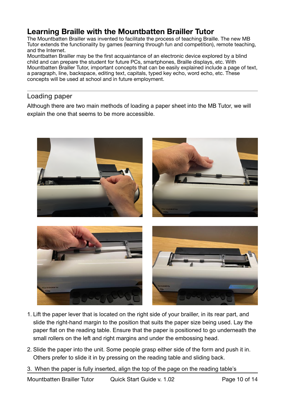## <span id="page-10-0"></span>**Learning Braille with the Mountbatten Brailler Tutor**

The Mountbatten Brailler was invented to facilitate the process of teaching Braille. The new MB Tutor extends the functionality by games (learning through fun and competition), remote teaching, and the Internet.

Mountbatten Brailler may be the first acquaintance of an electronic device explored by a blind child and can prepare the student for future PCs, smartphones, Braille displays, etc. With Mountbatten Brailler Tutor, important concepts that can be easily explained include a page of text, a paragraph, line, backspace, editing text, capitals, typed key echo, word echo, etc. These concepts will be used at school and in future employment.

#### <span id="page-10-1"></span>Loading paper

Although there are two main methods of loading a paper sheet into the MB Tutor, we will explain the one that seems to be more accessible.



- 1. Lift the paper lever that is located on the right side of your brailler, in its rear part, and slide the right-hand margin to the position that suits the paper size being used. Lay the paper flat on the reading table. Ensure that the paper is positioned to go underneath the small rollers on the left and right margins and under the embossing head.
- 2. Slide the paper into the unit. Some people grasp either side of the form and push it in. Others prefer to slide it in by pressing on the reading table and sliding back.
- 3. When the paper is fully inserted, align the top of the page on the reading table's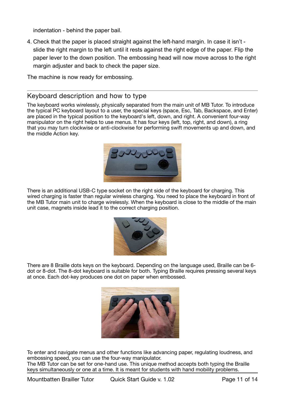indentation - behind the paper bail.

4. Check that the paper is placed straight against the left-hand margin. In case it isn't slide the right margin to the left until it rests against the right edge of the paper. Flip the paper lever to the down position. The embossing head will now move across to the right margin adjuster and back to check the paper size.

The machine is now ready for embossing.

#### <span id="page-11-0"></span>Keyboard description and how to type

The keyboard works wirelessly, physically separated from the main unit of MB Tutor. To introduce the typical PC keyboard layout to a user, the special keys (space, Esc, Tab, Backspace, and Enter) are placed in the typical position to the keyboard's left, down, and right. A convenient four-way manipulator on the right helps to use menus. It has four keys (left, top, right, and down), a ring that you may turn clockwise or anti-clockwise for performing swift movements up and down, and the middle Action key.



There is an additional USB-C type socket on the right side of the keyboard for charging. This wired charging is faster than regular wireless charging. You need to place the keyboard in front of the MB Tutor main unit to charge wirelessly. When the keyboard is close to the middle of the main unit case, magnets inside lead it to the correct charging position.



There are 8 Braille dots keys on the keyboard. Depending on the language used, Braille can be 6 dot or 8-dot. The 8-dot keyboard is suitable for both. Typing Braille requires pressing several keys at once. Each dot-key produces one dot on paper when embossed.



To enter and navigate menus and other functions like advancing paper, regulating loudness, and embossing speed, you can use the four-way manipulator.

The MB Tutor can be set for one-hand use. This unique method accepts both typing the Braille keys simultaneously or one at a time. It is meant for students with hand mobility problems.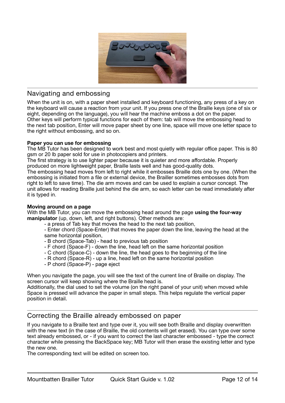

#### <span id="page-12-0"></span>Navigating and embossing

When the unit is on, with a paper sheet installed and keyboard functioning, any press of a key on the keyboard will cause a reaction from your unit. If you press one of the Braille keys (one of six or eight, depending on the language), you will hear the machine emboss a dot on the paper. Other keys will perform typical functions for each of them: tab will move the embossing head to the next tab position, Enter will move paper sheet by one line, space will move one letter space to the right without embossing, and so on.

#### **Paper you can use for embossing**

The MB Tutor has been designed to work best and most quietly with regular office paper. This is 80 gsm or 20 lb paper sold for use in photocopiers and printers.

The first strategy is to use lighter paper because it is quieter and more affordable. Properly produced on more lightweight paper, Braille lasts well and has good-quality dots.

The embossing head moves from left to right while it embosses Braille dots one by one. (When the embossing is initiated from a file or external device, the Brailler sometimes embosses dots from right to left to save time). The die arm moves and can be used to explain a cursor concept. The unit allows for reading Braille just behind the die arm, so each letter can be read immediately after it is typed in.

#### **Moving around on a page**

With the MB Tutor, you can move the embossing head around the page **using the four-way manipulator** (up, down, left, and right buttons). Other methods are:

- a press of Tab key that moves the head to the next tab position,

- Enter chord (Space-Enter) that moves the paper down the line, leaving the head at the same horizontal position,

- B chord (Space-Tab) head to previous tab position
- F chord (Space-F) down the line, head left on the same horizontal position
- C chord (Space-C) down the line, the head goes to the beginning of the line
- R chord (Space-R) up a line, head left on the same horizontal position
- P chord (Space-P) page eject

When you navigate the page, you will see the text of the current line of Braille on display. The screen cursor will keep showing where the Braille head is.

Additionally, the dial used to set the volume (on the right panel of your unit) when moved while Space is pressed will advance the paper in small steps. This helps regulate the vertical paper position in detail.

#### <span id="page-12-1"></span>Correcting the Braille already embossed on paper

If you navigate to a Braille text and type over it, you will see both Braille and display overwritten with the new text (in the case of Braille, the old contents will get erased). You can type over some text already embossed, or - if you want to correct the last character embossed - type the correct character while pressing the BackSpace key; MB Tutor will then erase the existing letter and type the new one.

The corresponding text will be edited on screen too.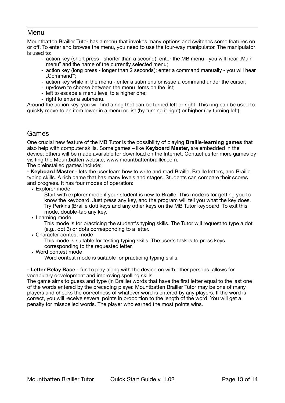#### <span id="page-13-0"></span>Menu

Mountbatten Brailler Tutor has a menu that invokes many options and switches some features on or off. To enter and browse the menu, you need to use the four-way manipulator. The manipulator is used to:

- action key (short press shorter than a second): enter the MB menu you will hear ..Main menu" and the name of the currently selected menu;
- action key (long press longer than 2 seconds): enter a command manually you will hear "Command"';
- action key while in the menu enter a submenu or issue a command under the cursor;
- up/down to choose between the menu items on the list;
- left to escape a menu level to a higher one;
- right to enter a submenu.

Around the action key, you will find a ring that can be turned left or right. This ring can be used to quickly move to an item lower in a menu or list (by turning it right) or higher (by turning left).

#### <span id="page-13-1"></span>Games

One crucial new feature of the MB Tutor is the possibility of playing **Braille-learning games** that also help with computer skills. Some games – like **Keyboard Master,** are embedded in the device; others will be made available for download on the Internet. Contact us for more games by visiting the Mountbatten website, www.mountbattenbrailler.com.

The preinstalled games include:

- **Keyboard Master** - lets the user learn how to write and read Braille, Braille letters, and Braille typing skills. A rich game that has many levels and stages. Students can compare their scores and progress. It has four modes of operation:

• Explorer mode

Start with explorer mode if your student is new to Braille. This mode is for getting you to know the keyboard. Just press any key, and the program will tell you what the key does. Try Perkins (Braille dot) keys and any other keys on the MB Tutor keyboard. To exit this mode, double-tap any key.

• Learning mode

This mode is for practicing the student's typing skills. The Tutor will request to type a dot (e.g., dot 3) or dots corresponding to a letter.

• Character contest mode

This mode is suitable for testing typing skills. The user's task is to press keys corresponding to the requested letter.

• Word contest mode

Word contest mode is suitable for practicing typing skills.

- **Letter Relay Race** - fun to play along with the device on with other persons, allows for vocabulary development and improving spelling skills.

The game aims to guess and type (in Braille) words that have the first letter equal to the last one of the words entered by the preceding player. Mountbatten Brailler Tutor may be one of many players and checks the correctness of whatever word is entered by any players. If the word is correct, you will receive several points in proportion to the length of the word. You will get a penalty for misspelled words. The player who earned the most points wins.